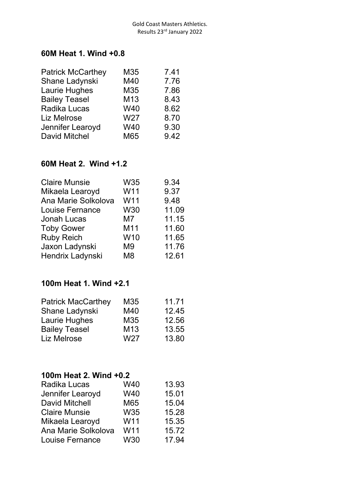#### **60M Heat 1. Wind +0.8**

| M35 | 7.41 |
|-----|------|
| M40 | 7.76 |
| M35 | 7.86 |
| M13 | 8.43 |
| W40 | 8.62 |
| W27 | 8.70 |
| W40 | 9.30 |
| M65 | 9.42 |
|     |      |

# **60M Heat 2. Wind +1.2**

| W35            | 9.34  |
|----------------|-------|
| W11            | 9.37  |
| W11            | 9.48  |
| <b>W30</b>     | 11.09 |
| M7             | 11.15 |
| M11            | 11.60 |
| W10            | 11.65 |
| M <sub>9</sub> | 11.76 |
| M <sub>8</sub> | 12.61 |
|                |       |

### **100m Heat 1. Wind +2.1**

| <b>Patrick MacCarthey</b> | M35             | 11.71 |
|---------------------------|-----------------|-------|
| Shane Ladynski            | M40             | 12.45 |
| Laurie Hughes             | M35             | 12.56 |
| <b>Bailey Teasel</b>      | M <sub>13</sub> | 13.55 |
| <b>Liz Melrose</b>        | W <sub>27</sub> | 13.80 |

## **100m Heat 2. Wind +0.2**

| Radika Lucas          | W40        | 13.93 |
|-----------------------|------------|-------|
| Jennifer Learoyd      | W40        | 15.01 |
| <b>David Mitchell</b> | M65        | 15.04 |
| <b>Claire Munsie</b>  | <b>W35</b> | 15.28 |
| Mikaela Learoyd       | W11        | 15.35 |
| Ana Marie Solkolova   | W11        | 15.72 |
| Louise Fernance       | <b>W30</b> | 17.94 |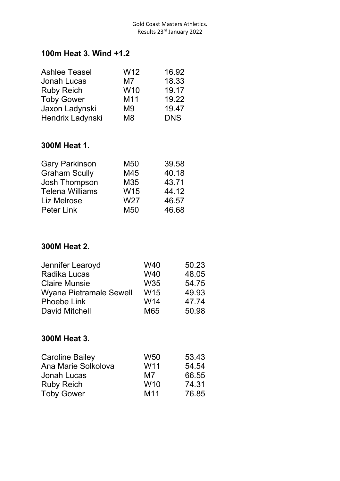#### **100m Heat 3. Wind +1.2**

| W <sub>12</sub> | 16.92      |
|-----------------|------------|
| M7              | 18.33      |
| W <sub>10</sub> | 19.17      |
| M11             | 19.22      |
| M <sub>9</sub>  | 19.47      |
| M <sub>8</sub>  | <b>DNS</b> |
|                 |            |

### **300M Heat 1.**

| <b>Gary Parkinson</b>  | M <sub>50</sub> | 39.58 |
|------------------------|-----------------|-------|
| <b>Graham Scully</b>   | M45             | 40.18 |
| Josh Thompson          | M35             | 43.71 |
| <b>Telena Williams</b> | W15             | 44.12 |
| Liz Melrose            | W27             | 46.57 |
| <b>Peter Link</b>      | M <sub>50</sub> | 46.68 |

## **300M Heat 2.**

| Jennifer Learoyd        | W40             | 50.23 |
|-------------------------|-----------------|-------|
| <b>Radika Lucas</b>     | W40             | 48.05 |
| <b>Claire Munsie</b>    | <b>W35</b>      | 54.75 |
| Wyana Pietramale Sewell | W <sub>15</sub> | 49.93 |
| <b>Phoebe Link</b>      | W <sub>14</sub> | 47.74 |
| <b>David Mitchell</b>   | M65             | 50.98 |

## **300M Heat 3.**

| W <sub>50</sub> | 53.43 |
|-----------------|-------|
| W <sub>11</sub> | 54.54 |
| M7              | 66.55 |
| W <sub>10</sub> | 74.31 |
| M <sub>11</sub> | 76.85 |
|                 |       |